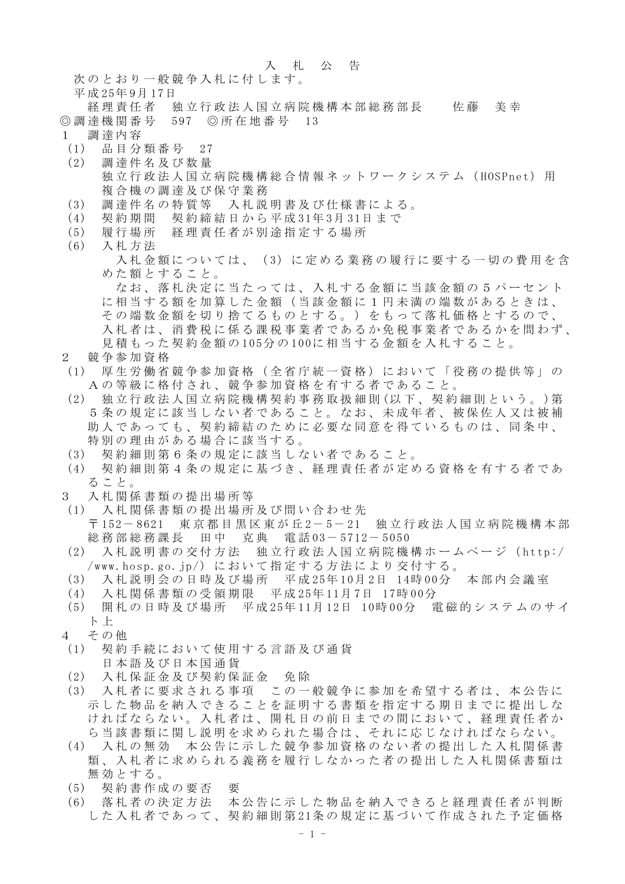## 入札公告

次のとおり一般競争入札に付します。

平成 25年 9月 17日

- 経理責任者 独立行政法人国立病院機構本部総務部長 佐藤 美幸 ◎調達機関番号 597 ◎所在地番号 13
- 1 調達内容
- (1) 品目分類番号 27
- (2) 調達件名及び数量 独立行政法人国立病院機構総合情報ネットワークシステム (HOSPnet) 用 複合機の調達及び保守業務
- (3) 調達件名の特質等 入札説明書及び仕様書による。
- (4) 契約期間 契約締結日から平成 31年 3月 31日まで
- (5) 履行場所 経理責任者が別途指定する場所
- (6) 入札方法

入札金額については、(3)に定める業務の履行に要する一切の費用を含 めた額とすること。

なお、落札決定に当たっては、入札する金額に当該金額の5パーセント に相当する額を加算した金額(当該金額に1円未満の端数があるときは、 その端数金額を切り捨てるものとする。)をもって落札価格とするので、 入札者は、消費税に係る課税事業者であるか免税事業者であるかを問わず、 見積もった契約金額の 105分の 100に相当する金額を入札すること。

- 2 競争参加資格
- (1) 厚生労働省競争参加資格(全省庁統一資格)において「役務の提供等」の Aの等級に格付され、競争参加資格を有する者であること 。
- (2) 独立行政法人国立病院機構契約事務取扱細則 (以下、契約細則という。 )第 5条の規定に該当しない者であること。なお、未成年者、被保佐人又は被補 助人であっても、契約締結のために必要な同意を得ているものは、同条中、 特別の理由がある場合に該当する。
- (3) 契約細則第6条の規定に該当しない者であること。
- (4) 契約細則第4条の規定に基づき、経理責任者が定める資格を有する者であ ること。
- 3 入札関係書類の提出場所等
- (1) 入札関係書類の提出場所及び問い合わせ先 〒 152- 8621 東京都目黒区東が丘 2- 5- 21 独立行政法人国立病院機構本部 総務部総務課長 田中 克典 電話 03- 5712- 5050
- (2) 入札説明書の交付方法 独立行政法人国立病院機構ホームページ( http:/ /www.hosp.go.jp/)において指定する方法により交付する。
- (3) 入札説明会の日時及び場所 平成 25年 10月 2日 14時 00分 本部内会議室
- (4) 入札関係書類の受領期限 平成 25年 11月 7日 17時 00分
- (5) 開札の日時及び場所 平成 25年 11月 12日 10時 00分 電磁的システムのサイ ト 上
- 4 その他
- (1) 契約手続において使用する言語及び通貨 日本語及び日本国通貨
- (2) 入札保証金及び契約保証金 免除
- (3) 入札者に要求される事項 この一般競争に参加を希望する者は、本公告に 示した物品を納入できることを証明する書類を指定する期日までに提出しな ければならない。入札者は、開札日の前日までの間において、経理責任者か ら当該書類に関し説明を求められた場合は、それに応じなければならない。
- (4) 入札の無効 本公告に示した競争参加資格のない者の提出した入札関係書 類、入札者に求められる義務を履行しなかった者の提出した入札関係書類は 無効とする。
- (5) 契約書作成の要否 要
- (6) 落札者の決定方法 本公告に示した物品を納入できると経理責任者が判断 した入札者であって、契約細則第 21条の規定に基づいて作成された予定価格